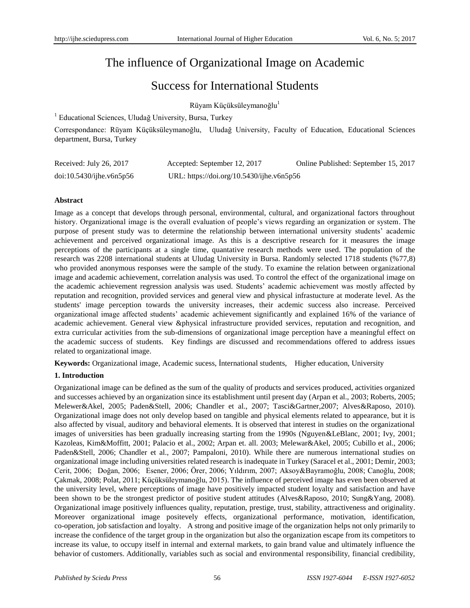# The influence of Organizational Image on Academic

# Success for International Students

 $Rüyam Küçüksüleymanoğlu<sup>1</sup>$ 

<sup>1</sup> Educational Sciences, Uludağ University, Bursa, Turkey

Correspondance: Rüyam Küçüksüleymanoğlu, Uludağ University, Faculty of Education, Educational Sciences department, Bursa, Turkey

| Received: July 26, 2017     | Accepted: September 12, 2017              | Online Published: September 15, 2017 |
|-----------------------------|-------------------------------------------|--------------------------------------|
| $doi:10.5430/ij$ he.v6n5p56 | URL: https://doi.org/10.5430/ijhe.v6n5p56 |                                      |

# **Abstract**

Image as a concept that develops through personal, environmental, cultural, and organizational factors throughout history. Organizational image is the overall evaluation of people's views regarding an organization or system. The purpose of present study was to determine the relationship between international university students' academic achievement and perceived organizational image. As this is a descriptive research for it measures the image perceptions of the participants at a single time, quantative research methods were used. The population of the research was 2208 international students at Uludag University in Bursa. Randomly selected 1718 students (%77,8) who provided anonymous responses were the sample of the study. To examine the relation between organizational image and academic achievement, correlation analysis was used. To control the effect of the organizational image on the academic achievement regression analysis was used. Students' academic achievement was mostly affected by reputation and recognition, provided services and general view and physical infrastucture at moderate level. As the students' image perception towards the university increases, their acdemic success also increase. Perceived organizational image affected students' academic achievement significantly and explained 16% of the variance of academic achievement. General view &physical infrastructure provided services, reputation and recognition, and extra curricular activities from the sub-dimensions of organizational image perception have a meaningful effect on the academic success of students. Key findings are discussed and recommendations offered to address issues related to organizational image.

**Keywords:** Organizational image, Academic sucess, İnternational students, Higher education, University

# **1. Introduction**

Organizational image can be defined as the sum of the quality of products and services produced, activities organized and successes achieved by an organization since its establishment until present day (Arpan et al., 2003; Roberts, 2005; Melewer&Akel, 2005; Paden&Stell, 2006; Chandler et al., 2007; Tasci&Gartner,2007; Alves&Raposo, 2010). Organizational image does not only develop based on tangible and physical elements related to appearance, but it is also affected by visual, auditory and behavioral elements. It is observed that interest in studies on the organizational images of universities has been gradually increasing starting from the 1990s (Nguyen&LeBlanc, 2001; Ivy, 2001; Kazoleas, Kim&Moffitt, 2001; Palacio et al., 2002; Arpan et. all. 2003; Melewar&Akel, 2005; Cubillo et al., 2006; Paden&Stell, 2006; Chandler et al., 2007; Pampaloni, 2010). While there are numerous international studies on organizational image including universities related research is inadequate in Turkey (Saracel et al., 2001; Demir, 2003; Cerit, 2006; Doğan, 2006; Esener, 2006; Örer, 2006; Yıldırım, 2007; Aksoy&Bayramoğlu, 2008; Canoğlu, 2008; Çakmak, 2008; Polat, 2011; Küçüksüleymanoğlu, 2015). The influence of perceived image has even been observed at the university level, where perceptions of image have positively impacted student loyalty and satisfaction and have been shown to be the strongest predictor of positive student attitudes (Alves&Raposo, 2010; Sung&Yang, 2008). Organizational image positively influences quality, reputation, prestige, trust, stability, attractiveness and originality. Moreover organizational image positevely effects, organizational performance, motivation, identification, co-operation, job satisfaction and loyalty. A strong and positive image of the organization helps not only primarily to increase the confidence of the target group in the organization but also the organization escape from its competitors to increase its value, to occupy itself in internal and external markets, to gain brand value and ultimately influence the behavior of customers. Additionally, variables such as social and environmental responsibility, financial credibility,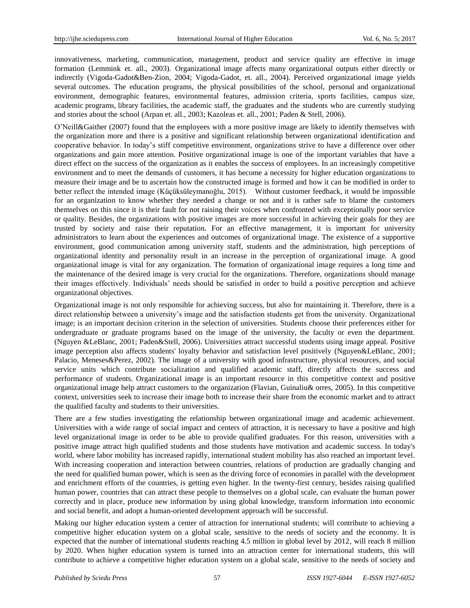innovativeness, marketing, communication, management, product and service quality are effective in image formation (Lemmink et. all., 2003). Organizational image affects many organizational outputs either directly or indirectly (Vigoda-Gadot&Ben-Zion, 2004; Vigoda-Gadot, et. all., 2004). Perceived organizational image yields several outcomes. The education programs, the physical possibilities of the school, personal and organizational environment, demographic features, environmental features, admission criteria, sports facilities, campus size, academic programs, library facilities, the academic staff, the graduates and the students who are currently studying and stories about the school (Arpan et. all., 2003; Kazoleas et. all., 2001; Paden & Stell, 2006).

O'Neill&Gaither (2007) found that the employees with a more positive image are likely to identify themselves with the organization more and there is a positive and significant relationship between organizational identification and cooperative behavior. In today's stiff competitive environment, organizations strive to have a difference over other organizations and gain more attention. Positive organizational image is one of the important variables that have a direct effect on the success of the organization as it enables the success of employees. In an increasingly competitive environment and to meet the demands of customers, it has become a necessity for higher education organizations to measure their image and be to ascertain how the constructed image is formed and how it can be modified in order to better reflect the intended image (Küçüksüleymanoğlu, 2015). Without customer feedback, it would be impossible for an organization to know whether they needed a change or not and it is rather safe to blame the customers themselves on this since it is their fault for not raising their voices when confronted with exceptionally poor service or quality. Besides, the organizations with positive images are more successful in achieving their goals for they are trusted by society and raise their reputation. For an effective management, it is important for university administrators to learn about the experiences and outcomes of organizational image. The existence of a supportive environment, good communication among university staff, students and the administration, high perceptions of organizational identity and personality result in an increase in the perception of organizational image. A good organizational image is vital for any organization. The formation of organizational image requires a long time and the maintenance of the desired image is very crucial for the organizations. Therefore, organizations should manage their images effectively. Individuals' needs should be satisfied in order to build a positive perception and achieve organizational objectives.

Organizational image is not only responsible for achieving success, but also for maintaining it. Therefore, there is a direct relationship between a university's image and the satisfaction students get from the university. Organizational image; is an important decision criterion in the selection of universities. Students choose their preferences either for undergraduate or graduate programs based on the image of the university, the faculty or even the department. (Nguyen &LeBlanc, 2001; Paden&Stell, 2006). Universities attract successful students using image appeal. Positive image perception also affects students' loyalty behavior and satisfaction level positively (Nguyen&LeBlanc, 2001; Palacio, Meneses&Perez, 2002). The image of a university with good infrastructure, physical resources, and social service units which contribute socialization and qualified academic staff, directly affects the success and performance of students. Organizational image is an important resource in this competitive context and positive organizational image help attract customers to the organization (Flavian, Guinaliu& orres, 2005). In this competitive context, universities seek to increase their image both to increase their share from the economic market and to attract the qualified faculty and students to their universities.

There are a few studies investigating the relationship between organizational image and academic achievement. Universities with a wide range of social impact and centers of attraction, it is necessary to have a positive and high level organizational image in order to be able to provide qualified graduates. For this reason, universities with a positive image attract high qualified students and those students have motivation and academic success. In today's world, where labor mobility has increased rapidly, international student mobility has also reached an important level. With increasing cooperation and interaction between countries, relations of production are gradually changing and the need for qualified human power, which is seen as the driving force of economies in parallel with the development and enrichment efforts of the countries, is getting even higher. In the twenty-first century, besides raising qualified human power, countries that can attract these people to themselves on a global scale, can evaluate the human power correctly and in place, produce new information by using global knowledge, transform information into economic and social benefit, and adopt a human-oriented development approach will be successful.

Making our higher education system a center of attraction for international students; will contribute to achieving a competitive higher education system on a global scale, sensitive to the needs of society and the economy. It is expected that the number of international students reaching 4.5 million in global level by 2012, will reach 8 million by 2020. When higher education system is turned into an attraction center for international students, this will contribute to achieve a competitive higher education system on a global scale, sensitive to the needs of society and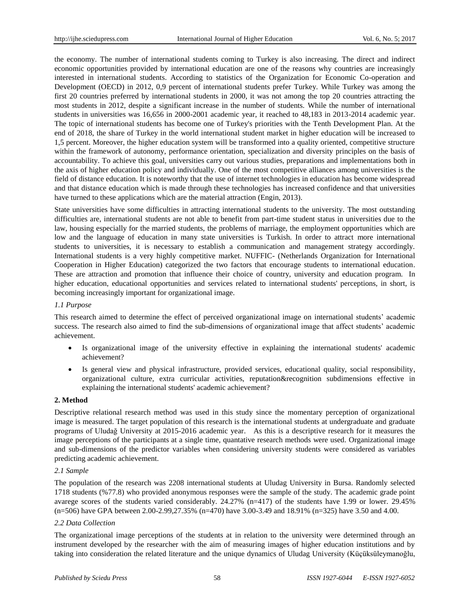the economy. The number of international students coming to Turkey is also increasing. The direct and indirect economic opportunities provided by international education are one of the reasons why countries are increasingly interested in international students. According to statistics of the Organization for Economic Co-operation and Development (OECD) in 2012, 0,9 percent of international students prefer Turkey. While Turkey was among the first 20 countries preferred by international students in 2000, it was not among the top 20 countries attracting the most students in 2012, despite a significant increase in the number of students. While the number of international students in universities was 16,656 in 2000-2001 academic year, it reached to 48,183 in 2013-2014 academic year. The topic of international students has become one of Turkey's priorities with the Tenth Development Plan. At the end of 2018, the share of Turkey in the world international student market in higher education will be increased to 1,5 percent. Moreover, the higher education system will be transformed into a quality oriented, competitive structure within the framework of autonomy, performance orientation, specialization and diversity principles on the basis of accountability. To achieve this goal, universities carry out various studies, preparations and implementations both in the axis of higher education policy and individually. One of the most competitive alliances among universities is the field of distance education. It is noteworthy that the use of internet technologies in education has become widespread and that distance education which is made through these technologies has increased confidence and that universities have turned to these applications which are the material attraction (Engin, 2013).

State universities have some difficulties in attracting international students to the university. The most outstanding difficulties are, international students are not able to benefit from part-time student status in universities due to the law, housing especially for the married students, the problems of marriage, the employment opportunities which are low and the language of education in many state universities is Turkish. In order to attract more international students to universities, it is necessary to establish a communication and management strategy accordingly. International students is a very highly competitive market. NUFFIC- (Netherlands Organization for International Cooperation in Higher Education) categorized the two factors that encourage students to international education. These are attraction and promotion that influence their choice of country, university and education program. In higher education, educational opportunities and services related to international students' perceptions, in short, is becoming increasingly important for organizational image.

## *1.1 Purpose*

This research aimed to determine the effect of perceived organizational image on international students' academic success. The research also aimed to find the sub-dimensions of organizational image that affect students' academic achievement.

- Is organizational image of the university effective in explaining the international students' academic achievement?
- Is general view and physical infrastructure, provided services, educational quality, social responsibility, organizational culture, extra curricular activities, reputation&recognition subdimensions effective in explaining the international students' academic achievement?

## **2. Method**

Descriptive relational research method was used in this study since the momentary perception of organizational image is measured. The target population of this research is the international students at undergraduate and graduate programs of Uludağ University at 2015-2016 academic year. As this is a descriptive research for it measures the image perceptions of the participants at a single time, quantative research methods were used. Organizational image and sub-dimensions of the predictor variables when considering university students were considered as variables predicting academic achievement.

## *2.1 Sample*

The population of the research was 2208 international students at Uludag University in Bursa. Randomly selected 1718 students (%77.8) who provided anonymous responses were the sample of the study. The academic grade point avarege scores of the students varied considerably. 24.27% (n=417) of the students have 1.99 or lower. 29.45% (n=506) have GPA between 2.00-2.99,27.35% (n=470) have 3.00-3.49 and 18.91% (n=325) have 3.50 and 4.00.

## *2.2 Data Collection*

The organizational image perceptions of the students at in relation to the university were determined through an instrument developed by the researcher with the aim of measuring images of higher education institutions and by taking into consideration the related literature and the unique dynamics of Uludag University (Küçüksüleymanoğlu,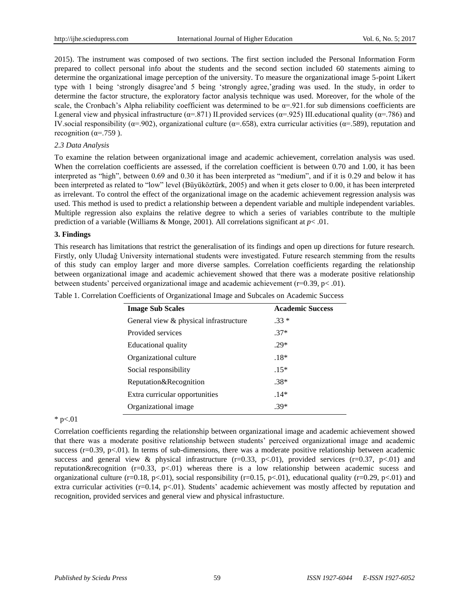2015). The instrument was composed of two sections. The first section included the Personal Information Form prepared to collect personal info about the students and the second section included 60 statements aiming to determine the organizational image perception of the university. To measure the organizational image 5-point Likert type with 1 being 'strongly disagree'and 5 being 'strongly agree,'grading was used. In the study, in order to determine the factor structure, the exploratory factor analysis technique was used. Moreover, for the whole of the scale, the Cronbach's Alpha reliability coefficient was determined to be  $\alpha = 921$ . for sub dimensions coefficients are I.general view and physical infrastructure ( $\alpha$ =.871) II.provided services ( $\alpha$ =.925) III.educational quality ( $\alpha$ =.786) and IV.social responsibility ( $\alpha$ =.902), organizational culture ( $\alpha$ =.658), extra curricular activities ( $\alpha$ =.589), reputation and recognition ( $\alpha$ =.759).

## *2.3 Data Analysis*

To examine the relation between organizational image and academic achievement, correlation analysis was used. When the correlation coefficients are assessed, if the correlation coefficient is between 0.70 and 1.00, it has been interpreted as "high", between 0.69 and 0.30 it has been interpreted as "medium", and if it is 0.29 and below it has been interpreted as related to "low" level (Büyüköztürk, 2005) and when it gets closer to 0.00, it has been interpreted as irrelevant. To control the effect of the organizational image on the academic achievement regression analysis was used. This method is used to predict a relationship between a dependent variable and multiple independent variables. Multiple regression also explains the relative degree to which a series of variables contribute to the multiple prediction of a variable (Williams & Monge, 2001). All correlations significant at  $p < .01$ .

#### **3. Findings**

This research has limitations that restrict the generalisation of its findings and open up directions for future research. Firstly, only Uludağ University international students were investigated. Future research stemming from the results of this study can employ larger and more diverse samples. Correlation coefficients regarding the relationship between organizational image and academic achievement showed that there was a moderate positive relationship between students' perceived organizational image and academic achievement  $(r=0.39, p< .01)$ .

Table 1. Correlation Coefficients of Organizational Image and Subcales on Academic Success

| <b>Image Sub Scales</b>                | <b>Academic Success</b> |  |  |  |
|----------------------------------------|-------------------------|--|--|--|
| General view & physical infrastructure | $.33*$                  |  |  |  |
| Provided services                      | $.37*$                  |  |  |  |
| Educational quality                    | $29*$                   |  |  |  |
| Organizational culture                 | $.18*$                  |  |  |  |
| Social responsibility                  | $.15*$                  |  |  |  |
| Reputation&Recognition                 | $.38*$                  |  |  |  |
| Extra curricular opportunities         | $14*$                   |  |  |  |
| Organizational image                   | $.39*$                  |  |  |  |

#### $*$  p $< 01$

Correlation coefficients regarding the relationship between organizational image and academic achievement showed that there was a moderate positive relationship between students' perceived organizational image and academic success ( $r=0.39$ ,  $p<01$ ). In terms of sub-dimensions, there was a moderate positive relationship between academic success and general view & physical infrastructure (r=0.33, p<.01), provided services (r=0.37, p<.01) and reputation&recognition ( $r=0.33$ ,  $p<01$ ) whereas there is a low relationship between academic sucess and organizational culture (r=0.18, p<.01), social responsibility (r=0.15, p<.01), educational quality (r=0.29, p<.01) and extra curricular activities (r=0.14, p<.01). Students' academic achievement was mostly affected by reputation and recognition, provided services and general view and physical infrastucture.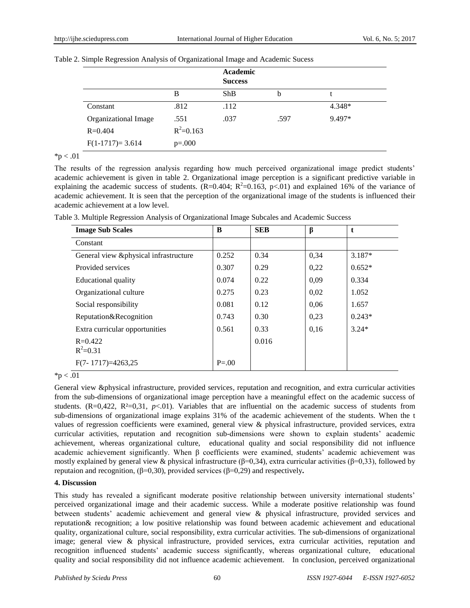|                      |               | Academic<br><b>Success</b> |      |        |
|----------------------|---------------|----------------------------|------|--------|
|                      | B             | ShB                        | b    |        |
| Constant             | .812          | .112                       |      | 4.348* |
| Organizational Image | .551          | .037                       | .597 | 9.497* |
| $R = 0.404$          | $R^2 = 0.163$ |                            |      |        |
| $F(1-1717)=3.614$    | $p=.000$      |                            |      |        |

|  |  |  | Table 2. Simple Regression Analysis of Organizational Image and Academic Sucess |
|--|--|--|---------------------------------------------------------------------------------|
|  |  |  |                                                                                 |

 $*<sub>p</sub> < .01$ 

The results of the regression analysis regarding how much perceived organizational image predict students' academic achievement is given in table 2. Organizational image perception is a significant predictive variable in explaining the academic success of students. (R=0.404; R<sup>2</sup>=0.163, p<.01) and explained 16% of the variance of academic achievement. It is seen that the perception of the organizational image of the students is influenced their academic achievement at a low level.

| <b>Image Sub Scales</b>               | B          | <b>SEB</b> | β    | t        |
|---------------------------------------|------------|------------|------|----------|
| Constant                              |            |            |      |          |
| General view &physical infrastructure | 0.252      | 0.34       | 0,34 | $3.187*$ |
| Provided services                     | 0.307      | 0.29       | 0,22 | $0.652*$ |
| Educational quality                   | 0.074      | 0.22       | 0,09 | 0.334    |
| Organizational culture                | 0.275      | 0.23       | 0,02 | 1.052    |
| Social responsibility                 | 0.081      | 0.12       | 0,06 | 1.657    |
| Reputation&Recognition                | 0.743      | 0.30       | 0,23 | $0.243*$ |
| Extra curricular opportunities        | 0.561      | 0.33       | 0.16 | $3.24*$  |
| $R = 0.422$                           |            | 0.016      |      |          |
| $R^2 = 0.31$                          |            |            |      |          |
| $F(7-1717)=4263,25$                   | $P = 0.00$ |            |      |          |

Table 3. Multiple Regression Analysis of Organizational Image Subcales and Academic Success

 $*_{p}$  < .01

General view &physical infrastructure, provided services, reputation and recognition, and extra curricular activities from the sub-dimensions of organizational image perception have a meaningful effect on the academic success of students. (R=0,422, R  $\text{\textless}=0.31$ , *p*<.01). Variables that are influential on the academic success of students from sub-dimensions of organizational image explains 31% of the academic achievement of the students. When the t values of regression coefficients were examined, general view & physical infrastructure, provided services, extra curricular activities, reputation and recognition sub-dimensions were shown to explain students' academic achievement, whereas organizational culture, educational quality and social responsibility did not influence academic achievement significantly. When β coefficients were examined, students' academic achievement was mostly explained by general view & physical infrastructure ( $\beta$ =0,34), extra curricular activities ( $\beta$ =0,33), followed by reputaion and recognition, (β=0,30), provided services (β=0,29) and respectively**.**

## **4. Discussion**

This study has revealed a significant moderate positive relationship between university international students' perceived organizational image and their academic success. While a moderate positive relationship was found between students' academic achievement and general view & physical infrastructure, provided services and reputation& recognition; a low positive relationship was found between academic achievement and educational quality, organizational culture, social responsibility, extra curricular activities. The sub-dimensions of organizational image; general view & physical infrastructure, provided services, extra curricular activities, reputation and recognition influenced students' academic success significantly, whereas organizational culture, educational quality and social responsibility did not influence academic achievement. In conclusion, perceived organizational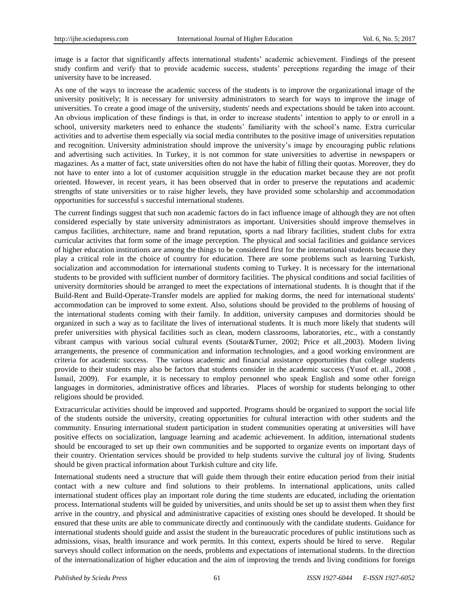image is a factor that significantly affects international students' academic achievement. Findings of the present study confirm and verify that to provide academic success, students' perceptions regarding the image of their university have to be increased.

As one of the ways to increase the academic success of the students is to improve the organizational image of the university positively; It is necessary for university administrators to search for ways to improve the image of universities. To create a good image of the university, students' needs and expectations should be taken into account. An obvious implication of these findings is that, in order to increase students' intention to apply to or enroll in a school, university marketers need to enhance the students' familiarity with the school's name. Extra curricular activities and to advertise them especially via social media contributes to the positive image of universities reputation and recognition. University administration should improve the university's image by encouraging public relations and advertising such activities. In Turkey, it is not common for state universities to advertise in newspapers or magazines. As a matter of fact, state universities often do not have the habit of filling their quotas. Moreover, they do not have to enter into a lot of customer acquisition struggle in the education market because they are not profit oriented. However, in recent years, it has been observed that in order to preserve the reputations and academic strengths of state universities or to raise higher levels, they have provided some scholarship and accommodation opportunities for successful s succesful international students.

The current findings suggest that such non academic factors do in fact influence image of although they are not often considered especially by state university administrators as important. Universities should improve themselves in campus facilities, architecture, name and brand reputation, sports a nad library facilities, student clubs for extra curricular activites that form some of the image perception. The physical and social facilities and guidance services of higher education institutions are among the things to be considered first for the international students because they play a critical role in the choice of country for education. There are some problems such as learning Turkish, socialization and accommodation for international students coming to Turkey. It is necessary for the international students to be provided with sufficient number of dormitory facilities. The physical conditions and social facilities of university dormitories should be arranged to meet the expectations of international students. It is thought that if the Build-Rent and Build-Operate-Transfer models are applied for making dorms, the need for international students' accommodation can be improved to some extent. Also, solutions should be provided to the problems of housing of the international students coming with their family. In addition, university campuses and dormitories should be organized in such a way as to facilitate the lives of international students. It is much more likely that students will prefer universities with physical facilities such as clean, modern classrooms, laboratories, etc., with a constantly vibrant campus with various social cultural events (Soutar&Turner, 2002; Price et all.,2003). Modern living arrangements, the presence of communication and information technologies, and a good working environment are criteria for academic success. The various academic and financial assistance opportunities that college students provide to their students may also be factors that students consider in the academic success (Yusof et. all., 2008 , İsmail, 2009). For example, it is necessary to employ personnel who speak English and some other foreign languages in dormitories, administrative offices and libraries. Places of worship for students belonging to other religions should be provided.

Extracurricular activities should be improved and supported. Programs should be organized to support the social life of the students outside the university, creating opportunities for cultural interaction with other students and the community. Ensuring international student participation in student communities operating at universities will have positive effects on socialization, language learning and academic achievement. In addition, international students should be encouraged to set up their own communities and be supported to organize events on important days of their country. Orientation services should be provided to help students survive the cultural joy of living. Students should be given practical information about Turkish culture and city life.

International students need a structure that will guide them through their entire education period from their initial contact with a new culture and find solutions to their problems. In international applications, units called international student offices play an important role during the time students are educated, including the orientation process. International students will be guided by universities, and units should be set up to assist them when they first arrive in the country, and physical and administrative capacities of existing ones should be developed. It should be ensured that these units are able to communicate directly and continuously with the candidate students. Guidance for international students should guide and assist the student in the bureaucratic procedures of public institutions such as admissions, visas, health insurance and work permits. In this context, experts should be hired to serve. Regular surveys should collect information on the needs, problems and expectations of international students. In the direction of the internationalization of higher education and the aim of improving the trends and living conditions for foreign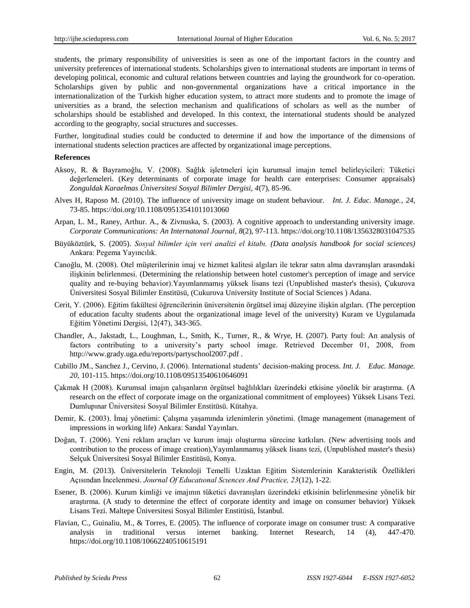students, the primary responsibility of universities is seen as one of the important factors in the country and university preferences of international students. Scholarships given to international students are important in terms of developing political, economic and cultural relations between countries and laying the groundwork for co-operation. Scholarships given by public and non-governmental organizations have a critical importance in the internationalization of the Turkish higher education system, to attract more students and to promote the image of universities as a brand, the selection mechanism and qualifications of scholars as well as the number of scholarships should be established and developed. In this context, the international students should be analyzed according to the geography, social structures and successes.

Further, longitudinal studies could be conducted to determine if and how the importance of the dimensions of international students selection practices are affected by organizational image perceptions.

#### **References**

- Aksoy, R. & Bayramoğlu, V. (2008). Sağlık işletmeleri için kurumsal imajın temel belirleyicileri: Tüketici değerlemeleri. (Key determinants of corporate image for health care enterprises: Consumer appraisals) *Zonguldak Karaelmas Üniversitesi Sosyal Bilimler Dergisi, 4*(7), 85-96.
- Alves H, Raposo M. (2010). The influence of university image on student behaviour. *Int. J. Educ. Manage., 24*, 73-85. <https://doi.org/10.1108/09513541011013060>
- Arpan, L. M., Raney, Arthur. A., & Zivnuska, S. (2003). A cognitive approach to understanding university image. *Corporate Communications: An Internatonal Journal, 8*(2), 97-113.<https://doi.org/10.1108/1356328031047535>
- Büyüköztürk, S. (2005). *Sosyal bilimler için veri analizi el kitabı. (Data analysis handbook for social sciences)* Ankara: Pegema Yayıncılık.
- Canoğlu, M. (2008). Otel müşterilerinin imaj ve hizmet kalitesi algıları ile tekrar satın alma davranışları arasındaki ilişkinin belirlenmesi. (Determining the relationship between hotel customer's perception of image and service quality and re-buying behavior).Yayımlanmamış yüksek lisans tezi (Unpublished master's thesis), Çukurova Üniversitesi Sosyal Bilimler Enstitüsü, (Cukurova University Institute of Social Sciences ) Adana.
- Cerit, Y. (2006). Eğitim fakültesi öğrencilerinin üniversitenin örgütsel imaj düzeyine ilişkin algıları. (The perception of education faculty students about the organizational image level of the university) Kuram ve Uygulamada Eğitim Yönetimi Dergisi, 12(47), 343-365.
- Chandler, A., Jakstadt, L., Loughman, L., Smith, K., Turner, R., & Wrye, H. (2007). Party foul: An analysis of factors contributing to a university's party school image. Retrieved December 01, 2008, from http://www.grady.uga.edu/reports/partyschool2007.pdf .
- Cubillo JM., Sanchez J., Cervino, J. (2006). International students' decision-making process. *Int. J. Educ. Manage. 20*, 101-115.<https://doi.org/10.1108/09513540610646091>
- Çakmak H (2008). Kurumsal imajın çalışanların örgütsel bağlılıkları üzerindeki etkisine yönelik bir araştırma. (A research on the effect of corporate image on the organizational commitment of employees) Yüksek Lisans Tezi. Dumlupınar Üniversitesi Sosyal Bilimler Enstitüsü. Kütahya.
- Demir, K. (2003). İmaj yönetimi: Çalışma yaşamında izlenimlerin yönetimi. (Image management (management of impressions in working life) Ankara: Sandal Yayınları.
- Doğan, T. (2006). Yeni reklam araçları ve kurum imajı oluşturma sürecine katkıları. (New advertising tools and contribution to the process of image creation),Yayımlanmamış yüksek lisans tezi, (Unpublished master's thesis) Sel aık Üniversitesi Sosyal Bilimler Enstitüsü, Konya.
- Engin, M. (2013). Üniversitelerin Teknoloji Temelli Uzaktan Eğitim Sistemlerinin Karakteristik Özellikleri Açısından İncelenmesi. *Journal Of Educatıonal Scıences And Practice, 23*(12), 1-22.
- Esener, B. (2006). Kurum kimliği ve imajının tüketici davranışları üzerindeki etkisinin belirlenmesine yönelik bir araştırma. (A study to determine the effect of corporate identity and image on consumer behavior) Yüksek Lisans Tezi. Maltepe Üniversitesi Sosyal Bilimler Enstitüsü, İstanbul.
- Flavian, C., Guinaliu, M., & Torres, E. (2005). The influence of corporate image on consumer trust: A comparative analysis in traditional versus internet banking. Internet Research, 14 (4), 447-470. <https://doi.org/10.1108/10662240510615191>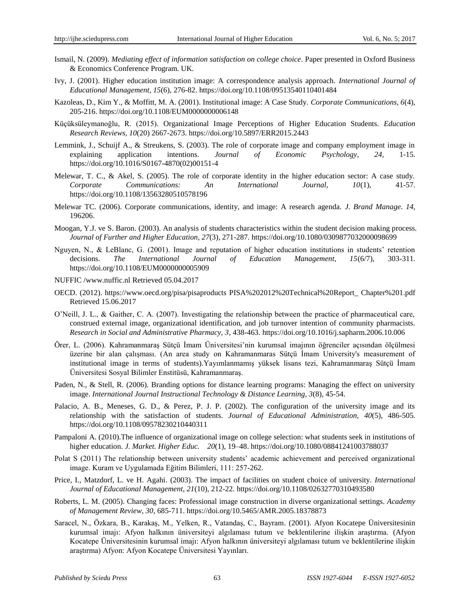- Ismail, N. (2009). *Mediating effect of information satisfaction on college choice*. Paper presented in Oxford Business & Economics Conference Program. UK.
- Ivy, J. (2001). Higher education institution image: A correspondence analysis approach. *International Journal of Educational Management, 15*(6), 276-82[. https://doi.org/10.1108/09513540110401484](https://doi.org/10.1108/09513540110401484)
- Kazoleas, D., Kim Y., & Moffitt, M. A. (2001). Institutional image: A Case Study. *Corporate Communications, 6*(4), 205-216. <https://doi.org/10.1108/EUM0000000006148>
- Küçüksüleymanoğlu, R. (2015). Organizational Image Perceptions of Higher Education Students. *Education Research Reviews, 10*(20) 2667-2673. <https://doi.org/10.5897/ERR2015.2443>
- Lemmink, J., Schuijf A., & Streukens, S. (2003). The role of corporate image and company employment image in explaining application intentions. *Journal of Economic Psychology, 24*, 1-15. [https://doi.org/10.1016/S0167-4870\(02\)00151-4](https://doi.org/10.1016/S0167-4870(02)00151-4)
- Melewar, T. C., & Akel, S. (2005). The role of corporate identity in the higher education sector: A case study. *Corporate Communications: An International Journal, 10*(1), 41-57. <https://doi.org/10.1108/13563280510578196>
- Melewar TC. (2006). Corporate communications, identity, and image: A research agenda. *J. Brand Manage. 14*, 196206.
- Moogan, Y.J. ve S. Baron. (2003). An analysis of students characteristics within the student decision making process. *Journal of Further and Higher Education, 27*(3), 271-287.<https://doi.org/10.1080/0309877032000098699>
- Nguyen, N., & LeBlanc, G. (2001). Image and reputation of higher education institutions in students' retention decisions. *The International Journal of Education Management, 15*(6/7), 303-311. <https://doi.org/10.1108/EUM0000000005909>
- NUFFIC /www.nuffic.nl Retrieved 05.04.2017
- OECD. (2012).<https://www.oecd.org/pisa/pisaproducts> PISA%202012%20Technical%20Report\_ Chapter%201.pdf Retrieved 15.06.2017
- O'Neill, J. L., & Gaither, C. A. (2007). Investigating the relationship between the practice of pharmaceutical care, construed external image, organizational identification, and job turnover intention of community pharmacists. *Research in Social and Administrative Pharmacy, 3*, 438-463[. https://doi.org/10.1016/j.sapharm.2006.10.006](https://doi.org/10.1016/j.sapharm.2006.10.006)
- Örer, L. (2006). Kahramanmaraş Sütçü İmam Üniversitesi'nin kurumsal imajının öğrenciler açısından ölçülmesi üzerine bir alan çalışması. (An area study on Kahramanmaras Sütçü İmam University's measurement of institutional image in terms of students).Yayımlanmamış yüksek lisans tezi, Kahramanmaraş Sütçü İmam Üniversitesi Sosyal Bilimler Enstitüsü, Kahramanmaraş.
- Paden, N., & Stell, R. (2006). Branding options for distance learning programs: Managing the effect on university image. *International Journal Instructional Technology & Distance Learning, 3*(8), 45-54.
- Palacio, A. B., Meneses, G. D., & Perez, P. J. P. (2002). The configuration of the university image and its relationship with the satisfaction of students. *Journal of Educational Administration, 40*(5), 486-505. <https://doi.org/10.1108/09578230210440311>
- Pampaloni A. (2010).The influence of organizational image on college selection: what students seek in institutions of higher education. *J. Market. Higher Educ. 20*(1), 19–48[. https://doi.org/10.1080/08841241003788037](https://doi.org/10.1080/08841241003788037)
- Polat S (2011) The relationship between university students' academic achievement and perceived organizational image. Kuram ve Uygulamada Eğitim Bilimleri, 111: 257-262.
- Price, I., Matzdorf, L. ve H. Agahi. (2003). The impact of facilities on student choice of university. *International Journal of Educational Management, 21*(10), 212-22.<https://doi.org/10.1108/02632770310493580>
- Roberts, L. M. (2005). Changing faces: Professional image construction in diverse organizational settings. *Academy of Management Review, 30*, 685-711.<https://doi.org/10.5465/AMR.2005.18378873>
- Saracel, N., Özkara, B., Karakaş, M., Yelken, R., Vatandaş, C., Bayram. (2001). Afyon Kocatepe Üniversitesinin kurumsal imajı: Afyon halkının üniversiteyi algılaması tutum ve beklentilerine ilişkin araştırma. (Afyon Kocatepe Üniversitesinin kurumsal imajı: Afyon halkının üniversiteyi algılaması tutum ve beklentilerine ilişkin araştırma) Afyon: Afyon Kocatepe Üniversitesi Yayınları.